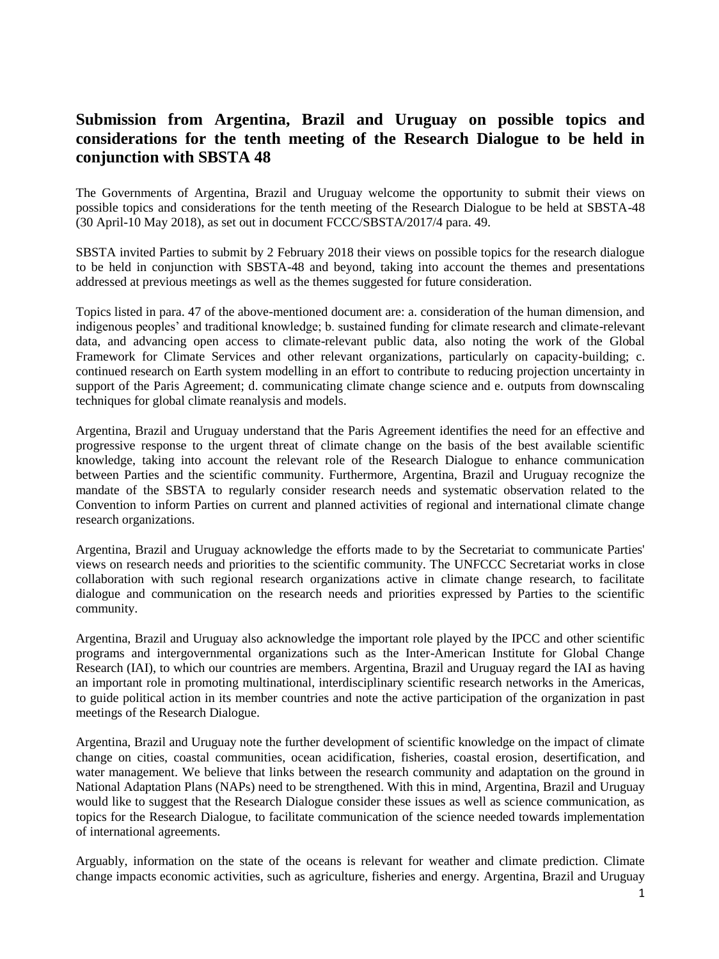## **Submission from Argentina, Brazil and Uruguay on possible topics and considerations for the tenth meeting of the Research Dialogue to be held in conjunction with SBSTA 48**

The Governments of Argentina, Brazil and Uruguay welcome the opportunity to submit their views on possible topics and considerations for the tenth meeting of the Research Dialogue to be held at SBSTA-48 (30 April-10 May 2018), as set out in document FCCC/SBSTA/2017/4 para. 49.

SBSTA invited Parties to submit by 2 February 2018 their views on possible topics for the research dialogue to be held in conjunction with SBSTA-48 and beyond, taking into account the themes and presentations addressed at previous meetings as well as the themes suggested for future consideration.

Topics listed in para. 47 of the above-mentioned document are: a. consideration of the human dimension, and indigenous peoples' and traditional knowledge; b. sustained funding for climate research and climate-relevant data, and advancing open access to climate-relevant public data, also noting the work of the Global Framework for Climate Services and other relevant organizations, particularly on capacity-building; c. continued research on Earth system modelling in an effort to contribute to reducing projection uncertainty in support of the Paris Agreement; d. communicating climate change science and e. outputs from downscaling techniques for global climate reanalysis and models.

Argentina, Brazil and Uruguay understand that the Paris Agreement identifies the need for an effective and progressive response to the urgent threat of climate change on the basis of the best available scientific knowledge, taking into account the relevant role of the Research Dialogue to enhance communication between Parties and the scientific community. Furthermore, Argentina, Brazil and Uruguay recognize the mandate of the SBSTA to regularly consider research needs and systematic observation related to the Convention to inform Parties on current and planned activities of regional and international climate change research organizations.

Argentina, Brazil and Uruguay acknowledge the efforts made to by the Secretariat to communicate Parties' views on research needs and priorities to the scientific community. The UNFCCC Secretariat works in close collaboration with such regional research organizations active in climate change research, to facilitate dialogue and communication on the research needs and priorities expressed by Parties to the scientific community.

Argentina, Brazil and Uruguay also acknowledge the important role played by the IPCC and other scientific programs and intergovernmental organizations such as the Inter-American Institute for Global Change Research (IAI), to which our countries are members. Argentina, Brazil and Uruguay regard the IAI as having an important role in promoting multinational, interdisciplinary scientific research networks in the Americas, to guide political action in its member countries and note the active participation of the organization in past meetings of the Research Dialogue.

Argentina, Brazil and Uruguay note the further development of scientific knowledge on the impact of climate change on cities, coastal communities, ocean acidification, fisheries, coastal erosion, desertification, and water management. We believe that links between the research community and adaptation on the ground in National Adaptation Plans (NAPs) need to be strengthened. With this in mind, Argentina, Brazil and Uruguay would like to suggest that the Research Dialogue consider these issues as well as science communication, as topics for the Research Dialogue, to facilitate communication of the science needed towards implementation of international agreements.

Arguably, information on the state of the oceans is relevant for weather and climate prediction. Climate change impacts economic activities, such as agriculture, fisheries and energy. Argentina, Brazil and Uruguay